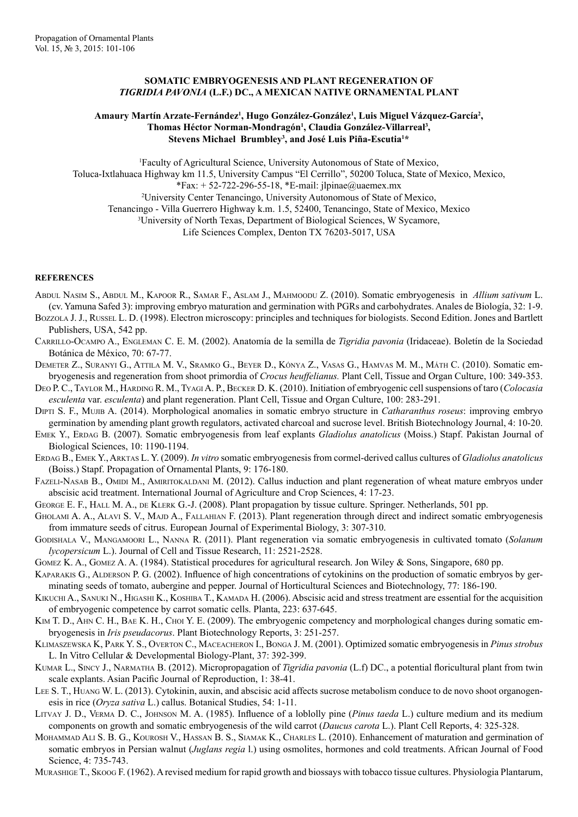## **SOMATIC EMBRYOGENESIS AND PLANT REGENERATION OF**  *TIGRIDIA PAVONIA* **(L.f.) DC., A MEXICAN NATIVE ORNAMENTAL PLANT**

## Amaury Martín Arzate-Fernández<sup>ı</sup>, Hugo González-González<sup>ı</sup>, Luis Miguel Vázquez-García<sup>2</sup>, Thomas Héctor Norman-Mondragón<sup>1</sup>, Claudia González-Villarreal<sup>3</sup>, **Stevens Michael Brumbley3 , and José Luis Piña-Escutia1 \***

1 Faculty of Agricultural Science, University Autonomous of State of Mexico, Toluca-Ixtlahuaca Highway km 11.5, University Campus "El Cerrillo", 50200 Toluca, State of Mexico, Mexico,  $*Fax: + 52-722-296-55-18, *E-mail: jlpinae@uaemex.mx$ 2 University Center Tenancingo, University Autonomous of State of Mexico, Tenancingo - Villa Guerrero Highway k.m. 1.5, 52400, Tenancingo, State of Mexico, Mexico 3 University of North Texas, Department of Biological Sciences, W Sycamore, Life Sciences Complex, Denton TX 76203-5017, USA

## **REFERENCES**

- Abdul Nasim S., Abdul M., Kapoor R., Samar F., Aslam J., Mahmoodu Z. (2010). Somatic embryogenesis in *Allium sativum* L. (cv. Yamuna Safed 3): improving embryo maturation and germination with PGRs and carbohydrates. Anales de Biología, 32: 1-9.
- Bozzola J. J., Russel L. D. (1998). Electron microscopy: principles and techniques for biologists. Second Edition. Jones and Bartlett Publishers, USA, 542 pp.
- Carrillo-Ocampo A., Engleman C. E. M. (2002). Anatomía de la semilla de *Tigridia pavonia* (Iridaceae). Boletín de la Sociedad Botánica de México, 70: 67-77.
- Demeter Z., Suranyi G., Attila M. V., Sramko G., Beyer D., Kónya Z., Vasas G., Hamvas M. M., Máth C. (2010). Somatic embryogenesis and regeneration from shoot primordia of *Crocus heuffelianus.* Plant Cell, Tissue and Organ Culture, 100: 349-353.
- Deo P. C., Taylor M., Harding R. M., Tyagi A. P., Becker D. K. (2010). Initiation of embryogenic cell suspensions of taro (*Colocasia esculenta* var. *esculenta*) and plant regeneration. Plant Cell, Tissue and Organ Culture, 100: 283-291.
- Dipti S. F., Mujib A. (2014). Morphological anomalies in somatic embryo structure in *Catharanthus roseus*: improving embryo germination by amending plant growth regulators, activated charcoal and sucrose level. British Biotechnology Journal, 4: 10-20.
- Emek Y., Erdag B. (2007). Somatic embryogenesis from leaf explants *Gladiolus anatolicus* (Moiss.) Stapf. Pakistan Journal of Biological Sciences, 10: 1190-1194.
- Erdag B., Emek Y., Arktas L. Y. (2009). *In vitro* somatic embryogenesis from cormel-derived callus cultures of *Gladiolus anatolicus* (Boiss.) Stapf. Propagation of Ornamental Plants, 9: 176-180.
- FAZELI-NASAB B., OMIDI M., AMIRITOKALDANI M. (2012). Callus induction and plant regeneration of wheat mature embryos under abscisic acid treatment. International Journal of Agriculture and Crop Sciences, 4: 17-23.
- GEORGE E. F., HALL M. A., DE KLERK G.-J. (2008). Plant propagation by tissue culture. Springer. Netherlands, 501 pp.
- GHOLAMI A. A., ALAVI S. V., MAJD A., FALLAHIAN F. (2013). Plant regeneration through direct and indirect somatic embryogenesis from immature seeds of citrus. European Journal of Experimental Biology, 3: 307-310.
- Godishala V., Mangamoori L., Nanna R. (2011). Plant regeneration via somatic embryogenesis in cultivated tomato (*Solanum lycopersicum* L.). Journal of Cell and Tissue Research, 11: 2521-2528.
- Gomez K. A., Gomez A. A. (1984). Statistical procedures for agricultural research. Jon Wiley & Sons, Singapore, 680 pp.
- Kaparakis G., Alderson P. G. (2002). Influence of high concentrations of cytokinins on the production of somatic embryos by germinating seeds of tomato, aubergine and pepper. Journal of Horticultural Sciences and Biotechnology, 77: 186-190.
- KIKUCHI A., SANUKI N., HIGASHI K., KOSHIBA T., KAMADA H. (2006). Abscisic acid and stress treatment are essential for the acquisition of embryogenic competence by carrot somatic cells. Planta, 223: 637-645.
- Kim T. D., Ahn C. H., Bae K. H., Choi Y. E. (2009). The embryogenic competency and morphological changes during somatic embryogenesis in *Iris pseudacorus*. Plant Biotechnology Reports, 3: 251-257.
- Klimaszewska K, Park Y. S., Overton C., Maceacheron I., Bonga J. M. (2001). Optimized somatic embryogenesis in *Pinus strobus* L. In Vitro Cellular & Developmental Biology-Plant, 37: 392-399.
- Kumar L., Sincy J., Narmatha B. (2012). Micropropagation of *Tigridia pavonia* (L.f) DC., a potential floricultural plant from twin scale explants. Asian Pacific Journal of Reproduction, 1: 38-41.
- Lee S. T., Huang W. L. (2013). Cytokinin, auxin, and abscisic acid affects sucrose metabolism conduce to de novo shoot organogenesis in rice (*Oryza sativa* L.) callus. Botanical Studies, 54: 1-11.
- Litvay J. D., Verma D. C., Johnson M. A. (1985). Influence of a loblolly pine (*Pinus taeda* L.) culture medium and its medium components on growth and somatic embryogenesis of the wild carrot (*Daucus carota* L.). Plant Cell Reports, 4: 325-328.
- MOHAMMAD ALI S. B. G., KOUROSH V., HASSAN B. S., SIAMAK K., CHARLES L. (2010). Enhancement of maturation and germination of somatic embryos in Persian walnut (*Juglans regia* l.) using osmolites, hormones and cold treatments. African Journal of Food Science, 4: 735-743.
- Murashige T., Skoog F. (1962). A revised medium for rapid growth and biossays with tobacco tissue cultures. Physiologia Plantarum,